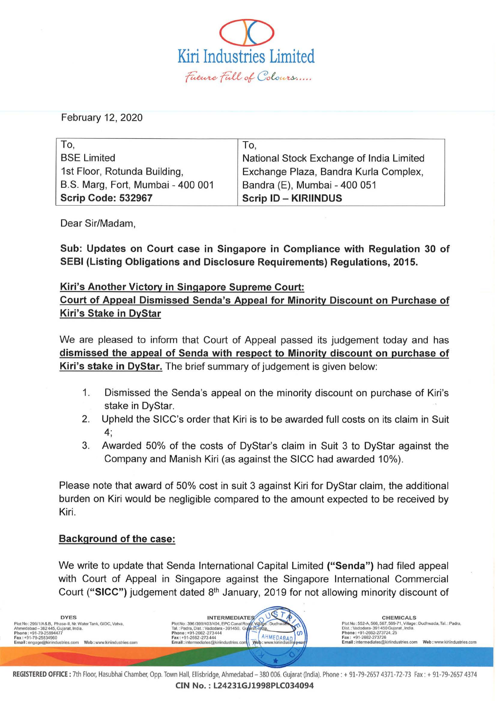$\overline{\mathbb{O}}$ Kiri Industries Limited<br>*Facare Fall of Coloars.....* 

February 12, 2020

| To.                               | To.                                      |
|-----------------------------------|------------------------------------------|
| <b>BSE Limited</b>                | National Stock Exchange of India Limited |
| 1st Floor, Rotunda Building,      | Exchange Plaza, Bandra Kurla Complex,    |
| B.S. Marg, Fort, Mumbai - 400 001 | Bandra (E), Mumbai - 400 051             |
| Scrip Code: 532967                | <b>Scrip ID - KIRIINDUS</b>              |

Dear Sir/Madam,

Sub: Updates on Court case in Singapore in Compliance with Regulation 30 of SEBI (Listing Obligations and Disclosure Requirements) Regulations, 2015.

## Kiri's Another Victory in Singapore Supreme Court:

Court of Appeal Dismissed Senda's Appeal for Minority Discount on Purchase of Kiri's Stake in DyStar

We are pleased to inform that Court of Appeal passed its judgement today and has dismissed the appeal of Senda with respect to Minority discount on purchase of Kiri's stake in DyStar. The brief summary of judgement is given below:

- 1. Dismissed the Senda's appeal on the minority discount on purchase of Kiri's stake in DyStar.
- 2. Upheld the SICC's order that Kiri is to be awarded full costs on its claim in Suit 4;
- 3. Awarded 50% of the costs of DyStar's claim in Suit 3 to DyStar against the Company and Manish Kiri (as against the SICC had awarded 10%).

Please note that award of 50% cost in suit 3 against Kiri for DyStar claim, the additional burden on Kiri would be negligible compared to the amount expected to be received by Kiri.

## Background of the case:

We write to update that Senda International Capital Limited ("Senda") had filed appeal with Court of Appeal in Singapore against the Singapore International Commercial Court ("SICC") judgement dated 8<sup>th</sup> January, 2019 for not allowing minority discount of